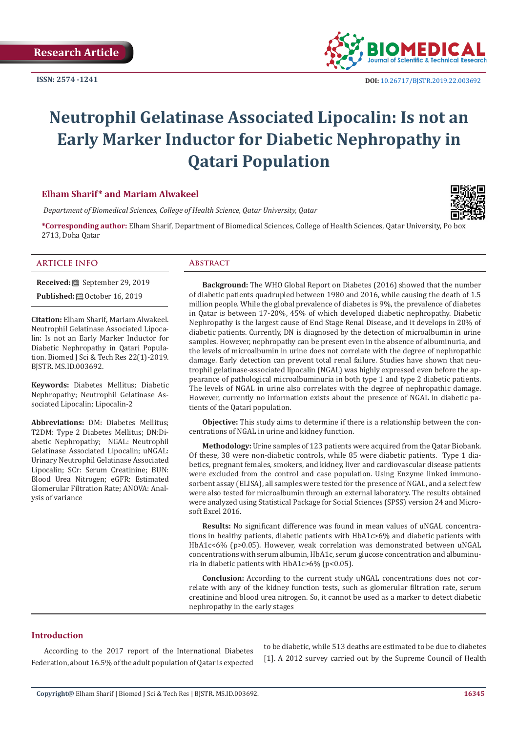**ISSN: 2574 -1241**



# **Neutrophil Gelatinase Associated Lipocalin: Is not an Early Marker Inductor for Diabetic Nephropathy in Qatari Population**

# **Elham Sharif\* and Mariam Alwakeel**

 *Department of Biomedical Sciences, College of Health Science, Qatar University, Qatar*



**\*Corresponding author:** Elham Sharif, Department of Biomedical Sciences, College of Health Sciences, Qatar University, Po box 2713, Doha Qatar

#### **ARTICLE INFO Abstract**

**Received:** September 29, 2019

**Published:** @ October 16, 2019

**Citation:** Elham Sharif, Mariam Alwakeel. Neutrophil Gelatinase Associated Lipocalin: Is not an Early Marker Inductor for Diabetic Nephropathy in Qatari Population. Biomed J Sci & Tech Res 22(1)-2019. BJSTR. MS.ID.003692.

**Keywords:** Diabetes Mellitus; Diabetic Nephropathy; Neutrophil Gelatinase Associated Lipocalin; Lipocalin-2

**Abbreviations:** DM: Diabetes Mellitus; T2DM: Type 2 Diabetes Mellitus; DN:Diabetic Nephropathy; NGAL: Neutrophil Gelatinase Associated Lipocalin; uNGAL: Urinary Neutrophil Gelatinase Associated Lipocalin; SCr: Serum Creatinine; BUN: Blood Urea Nitrogen; eGFR: Estimated Glomerular Filtration Rate; ANOVA: Analysis of variance

**Background:** The WHO Global Report on Diabetes (2016) showed that the number of diabetic patients quadrupled between 1980 and 2016, while causing the death of 1.5 million people. While the global prevalence of diabetes is 9%, the prevalence of diabetes in Qatar is between 17-20%, 45% of which developed diabetic nephropathy. Diabetic Nephropathy is the largest cause of End Stage Renal Disease, and it develops in 20% of diabetic patients. Currently, DN is diagnosed by the detection of microalbumin in urine samples. However, nephropathy can be present even in the absence of albuminuria, and the levels of microalbumin in urine does not correlate with the degree of nephropathic damage. Early detection can prevent total renal failure. Studies have shown that neutrophil gelatinase-associated lipocalin (NGAL) was highly expressed even before the appearance of pathological microalbuminuria in both type 1 and type 2 diabetic patients. The levels of NGAL in urine also correlates with the degree of nephropathic damage. However, currently no information exists about the presence of NGAL in diabetic patients of the Qatari population.

**Objective:** This study aims to determine if there is a relationship between the concentrations of NGAL in urine and kidney function.

**Methodology:** Urine samples of 123 patients were acquired from the Qatar Biobank. Of these, 38 were non-diabetic controls, while 85 were diabetic patients. Type 1 diabetics, pregnant females, smokers, and kidney, liver and cardiovascular disease patients were excluded from the control and case population. Using Enzyme linked immunosorbent assay (ELISA), all samples were tested for the presence of NGAL, and a select few were also tested for microalbumin through an external laboratory. The results obtained were analyzed using Statistical Package for Social Sciences (SPSS) version 24 and Microsoft Excel 2016.

**Results:** No significant difference was found in mean values of uNGAL concentrations in healthy patients, diabetic patients with HbA1c>6% and diabetic patients with HbA1c<6% (p>0.05). However, weak correlation was demonstrated between uNGAL concentrations with serum albumin, HbA1c, serum glucose concentration and albuminuria in diabetic patients with  $HbA1c>6\%$  (p<0.05).

**Conclusion:** According to the current study uNGAL concentrations does not correlate with any of the kidney function tests, such as glomerular filtration rate, serum creatinine and blood urea nitrogen. So, it cannot be used as a marker to detect diabetic nephropathy in the early stages

# **Introduction**

According to the 2017 report of the International Diabetes Federation, about 16.5% of the adult population of Qatar is expected to be diabetic, while 513 deaths are estimated to be due to diabetes [1]. A 2012 survey carried out by the Supreme Council of Health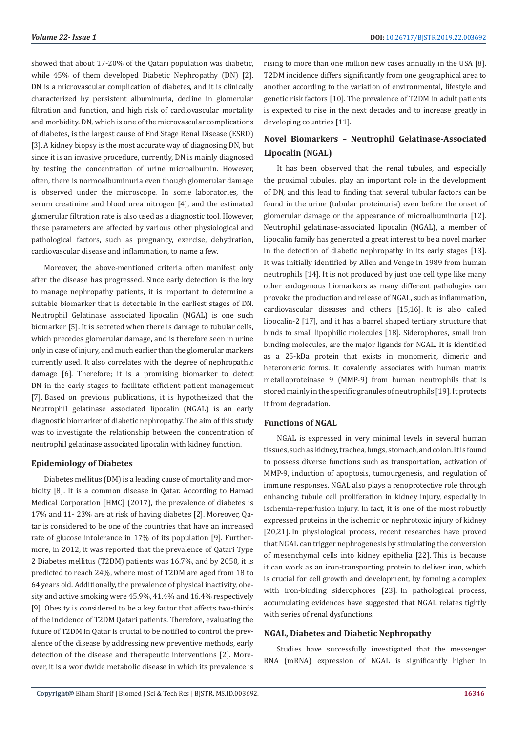showed that about 17-20% of the Qatari population was diabetic, while 45% of them developed Diabetic Nephropathy (DN) [2]. DN is a microvascular complication of diabetes, and it is clinically characterized by persistent albuminuria, decline in glomerular filtration and function, and high risk of cardiovascular mortality and morbidity. DN, which is one of the microvascular complications of diabetes, is the largest cause of End Stage Renal Disease (ESRD) [3].A kidney biopsy is the most accurate way of diagnosing DN, but since it is an invasive procedure, currently, DN is mainly diagnosed by testing the concentration of urine microalbumin. However, often, there is normoalbuminuria even though glomerular damage is observed under the microscope. In some laboratories, the serum creatinine and blood urea nitrogen [4], and the estimated glomerular filtration rate is also used as a diagnostic tool. However, these parameters are affected by various other physiological and pathological factors, such as pregnancy, exercise, dehydration, cardiovascular disease and inflammation, to name a few.

Moreover, the above-mentioned criteria often manifest only after the disease has progressed. Since early detection is the key to manage nephropathy patients, it is important to determine a suitable biomarker that is detectable in the earliest stages of DN. Neutrophil Gelatinase associated lipocalin (NGAL) is one such biomarker [5]. It is secreted when there is damage to tubular cells, which precedes glomerular damage, and is therefore seen in urine only in case of injury, and much earlier than the glomerular markers currently used. It also correlates with the degree of nephropathic damage [6]. Therefore; it is a promising biomarker to detect DN in the early stages to facilitate efficient patient management [7]. Based on previous publications, it is hypothesized that the Neutrophil gelatinase associated lipocalin (NGAL) is an early diagnostic biomarker of diabetic nephropathy. The aim of this study was to investigate the relationship between the concentration of neutrophil gelatinase associated lipocalin with kidney function.

# **Epidemiology of Diabetes**

Diabetes mellitus (DM) is a leading cause of mortality and morbidity [8]. It is a common disease in Qatar. According to Hamad Medical Corporation [HMC] (2017), the prevalence of diabetes is 17% and 11- 23% are at risk of having diabetes [2]. Moreover, Qatar is considered to be one of the countries that have an increased rate of glucose intolerance in 17% of its population [9]. Furthermore, in 2012, it was reported that the prevalence of Qatari Type 2 Diabetes mellitus (T2DM) patients was 16.7%, and by 2050, it is predicted to reach 24%, where most of T2DM are aged from 18 to 64 years old. Additionally, the prevalence of physical inactivity, obesity and active smoking were 45.9%, 41.4% and 16.4% respectively [9]. Obesity is considered to be a key factor that affects two-thirds of the incidence of T2DM Qatari patients. Therefore, evaluating the future of T2DM in Qatar is crucial to be notified to control the prevalence of the disease by addressing new preventive methods, early detection of the disease and therapeutic interventions [2]. Moreover, it is a worldwide metabolic disease in which its prevalence is rising to more than one million new cases annually in the USA [8]. T2DM incidence differs significantly from one geographical area to another according to the variation of environmental, lifestyle and genetic risk factors [10]. The prevalence of T2DM in adult patients is expected to rise in the next decades and to increase greatly in developing countries [11].

# **Novel Biomarkers – Neutrophil Gelatinase-Associated Lipocalin (NGAL)**

It has been observed that the renal tubules, and especially the proximal tubules, play an important role in the development of DN, and this lead to finding that several tubular factors can be found in the urine (tubular proteinuria) even before the onset of glomerular damage or the appearance of microalbuminuria [12]. Neutrophil gelatinase-associated lipocalin (NGAL), a member of lipocalin family has generated a great interest to be a novel marker in the detection of diabetic nephropathy in its early stages [13]. It was initially identified by Allen and Venge in 1989 from human neutrophils [14]. It is not produced by just one cell type like many other endogenous biomarkers as many different pathologies can provoke the production and release of NGAL, such as inflammation, cardiovascular diseases and others [15,16]. It is also called lipocalin-2 [17], and it has a barrel shaped tertiary structure that binds to small lipophilic molecules [18]. Siderophores, small iron binding molecules, are the major ligands for NGAL. It is identified as a 25-kDa protein that exists in monomeric, dimeric and heteromeric forms. It covalently associates with human matrix metalloproteinase 9 (MMP-9) from human neutrophils that is stored mainly in the specific granules of neutrophils [19]. It protects it from degradation.

# **Functions of NGAL**

NGAL is expressed in very minimal levels in several human tissues, such as kidney, trachea, lungs, stomach, and colon. It is found to possess diverse functions such as transportation, activation of MMP-9, induction of apoptosis, tumourgenesis, and regulation of immune responses. NGAL also plays a renoprotective role through enhancing tubule cell proliferation in kidney injury, especially in ischemia-reperfusion injury. In fact, it is one of the most robustly expressed proteins in the ischemic or nephrotoxic injury of kidney [20,21]. In physiological process, recent researches have proved that NGAL can trigger nephrogenesis by stimulating the conversion of mesenchymal cells into kidney epithelia [22]. This is because it can work as an iron-transporting protein to deliver iron, which is crucial for cell growth and development, by forming a complex with iron-binding siderophores [23]. In pathological process, accumulating evidences have suggested that NGAL relates tightly with series of renal dysfunctions.

#### **NGAL, Diabetes and Diabetic Nephropathy**

Studies have successfully investigated that the messenger RNA (mRNA) expression of NGAL is significantly higher in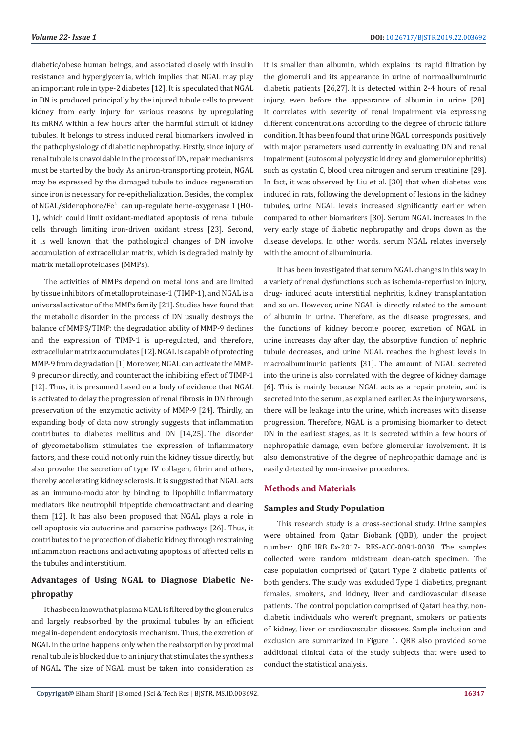diabetic/obese human beings, and associated closely with insulin resistance and hyperglycemia, which implies that NGAL may play an important role in type-2 diabetes [12]. It is speculated that NGAL in DN is produced principally by the injured tubule cells to prevent kidney from early injury for various reasons by upregulating its mRNA within a few hours after the harmful stimuli of kidney tubules. It belongs to stress induced renal biomarkers involved in the pathophysiology of diabetic nephropathy. Firstly, since injury of renal tubule is unavoidable in the process of DN, repair mechanisms must be started by the body. As an iron-transporting protein, NGAL may be expressed by the damaged tubule to induce regeneration since iron is necessary for re-epithelialization. Besides, the complex of NGAL/siderophore/Fe<sup>2+</sup> can up-regulate heme-oxygenase 1 (HO-1), which could limit oxidant-mediated apoptosis of renal tubule cells through limiting iron-driven oxidant stress [23]. Second, it is well known that the pathological changes of DN involve accumulation of extracellular matrix, which is degraded mainly by matrix metalloproteinases (MMPs).

The activities of MMPs depend on metal ions and are limited by tissue inhibitors of metalloproteinase-1 (TIMP-1), and NGAL is a universal activator of the MMPs family [21]. Studies have found that the metabolic disorder in the process of DN usually destroys the balance of MMPS/TIMP: the degradation ability of MMP-9 declines and the expression of TIMP-1 is up-regulated, and therefore, extracellular matrix accumulates [12].NGAL is capable of protecting MMP-9 from degradation [1] Moreover, NGAL can activate the MMP-9 precursor directly, and counteract the inhibiting effect of TIMP-1 [12]. Thus, it is presumed based on a body of evidence that NGAL is activated to delay the progression of renal fibrosis in DN through preservation of the enzymatic activity of MMP-9 [24]. Thirdly, an expanding body of data now strongly suggests that inflammation contributes to diabetes mellitus and DN [14,25]. The disorder of glycometabolism stimulates the expression of inflammatory factors, and these could not only ruin the kidney tissue directly, but also provoke the secretion of type IV collagen, fibrin and others, thereby accelerating kidney sclerosis. It is suggested that NGAL acts as an immuno-modulator by binding to lipophilic inflammatory mediators like neutrophil tripeptide chemoattractant and clearing them [12]. It has also been proposed that NGAL plays a role in cell apoptosis via autocrine and paracrine pathways [26]. Thus, it contributes to the protection of diabetic kidney through restraining inflammation reactions and activating apoptosis of affected cells in the tubules and interstitium.

# **Advantages of Using NGAL to Diagnose Diabetic Nephropathy**

It has been known that plasma NGAL is filtered by the glomerulus and largely reabsorbed by the proximal tubules by an efficient megalin-dependent endocytosis mechanism. Thus, the excretion of NGAL in the urine happens only when the reabsorption by proximal renal tubule is blocked due to an injury that stimulates the synthesis of NGAL. The size of NGAL must be taken into consideration as

it is smaller than albumin, which explains its rapid filtration by the glomeruli and its appearance in urine of normoalbuminuric diabetic patients [26,27]. It is detected within 2-4 hours of renal injury, even before the appearance of albumin in urine [28]. It correlates with severity of renal impairment via expressing different concentrations according to the degree of chronic failure condition. It has been found that urine NGAL corresponds positively with major parameters used currently in evaluating DN and renal impairment (autosomal polycystic kidney and glomerulonephritis) such as cystatin C, blood urea nitrogen and serum creatinine [29]. In fact, it was observed by Liu et al. [30] that when diabetes was induced in rats, following the development of lesions in the kidney tubules, urine NGAL levels increased significantly earlier when compared to other biomarkers [30]. Serum NGAL increases in the very early stage of diabetic nephropathy and drops down as the disease develops. In other words, serum NGAL relates inversely with the amount of albuminuria.

It has been investigated that serum NGAL changes in this way in a variety of renal dysfunctions such as ischemia-reperfusion injury, drug- induced acute interstitial nephritis, kidney transplantation and so on. However, urine NGAL is directly related to the amount of albumin in urine. Therefore, as the disease progresses, and the functions of kidney become poorer, excretion of NGAL in urine increases day after day, the absorptive function of nephric tubule decreases, and urine NGAL reaches the highest levels in macroalbuminuric patients [31]. The amount of NGAL secreted into the urine is also correlated with the degree of kidney damage [6]. This is mainly because NGAL acts as a repair protein, and is secreted into the serum, as explained earlier. As the injury worsens, there will be leakage into the urine, which increases with disease progression. Therefore, NGAL is a promising biomarker to detect DN in the earliest stages, as it is secreted within a few hours of nephropathic damage, even before glomerular involvement. It is also demonstrative of the degree of nephropathic damage and is easily detected by non-invasive procedures.

# **Methods and Materials**

### **Samples and Study Population**

This research study is a cross-sectional study. Urine samples were obtained from Qatar Biobank (QBB), under the project number: OBB\_IRB\_Ex-2017- RES-ACC-0091-0038. The samples collected were random midstream clean-catch specimen. The case population comprised of Qatari Type 2 diabetic patients of both genders. The study was excluded Type 1 diabetics, pregnant females, smokers, and kidney, liver and cardiovascular disease patients. The control population comprised of Qatari healthy, nondiabetic individuals who weren't pregnant, smokers or patients of kidney, liver or cardiovascular diseases. Sample inclusion and exclusion are summarized in Figure 1. QBB also provided some additional clinical data of the study subjects that were used to conduct the statistical analysis.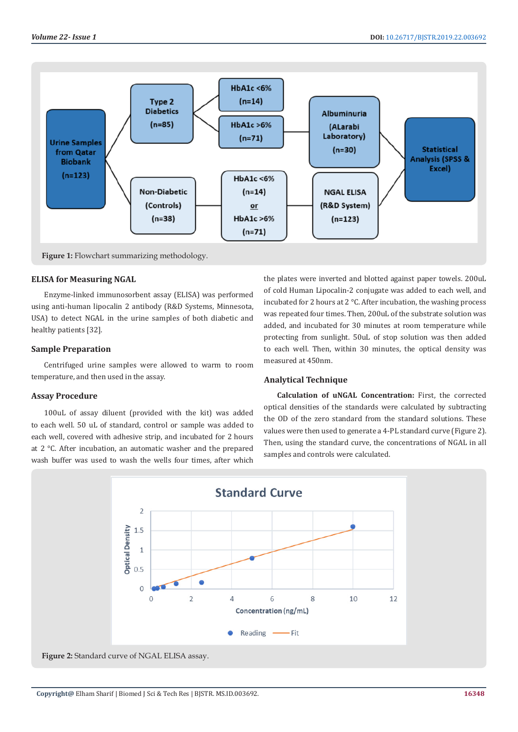

Figure 1: Flowchart summarizing methodology.

#### **ELISA for Measuring NGAL**

Enzyme-linked immunosorbent assay (ELISA) was performed using anti-human lipocalin 2 antibody (R&D Systems, Minnesota, USA) to detect NGAL in the urine samples of both diabetic and healthy patients [32].

# **Sample Preparation**

Centrifuged urine samples were allowed to warm to room temperature, and then used in the assay.

# **Assay Procedure**

100uL of assay diluent (provided with the kit) was added to each well. 50 uL of standard, control or sample was added to each well, covered with adhesive strip, and incubated for 2 hours at 2 °C. After incubation, an automatic washer and the prepared wash buffer was used to wash the wells four times, after which

the plates were inverted and blotted against paper towels. 200uL of cold Human Lipocalin-2 conjugate was added to each well, and incubated for 2 hours at 2 °C. After incubation, the washing process was repeated four times. Then, 200uL of the substrate solution was added, and incubated for 30 minutes at room temperature while protecting from sunlight. 50uL of stop solution was then added to each well. Then, within 30 minutes, the optical density was measured at 450nm.

#### **Analytical Technique**

**Calculation of uNGAL Concentration:** First, the corrected optical densities of the standards were calculated by subtracting the OD of the zero standard from the standard solutions. These values were then used to generate a 4-PL standard curve (Figure 2). Then, using the standard curve, the concentrations of NGAL in all samples and controls were calculated.

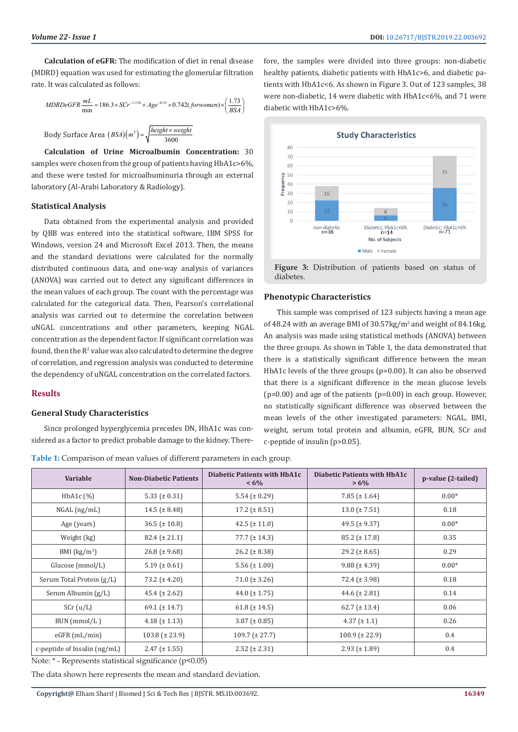**Calculation of eGFR:** The modification of diet in renal disease (MDRD) equation was used for estimating the glomerular filtration rate. It was calculated as follows:

$$
MDRDeGFR \frac{mL}{\text{min}} = 186.3 \times SCr^{-1.154} \times Age^{-0.23} \times 0.742 (for women) \times \left(\frac{1.73}{BSA}\right)
$$
  
Body Surface Area  $(BSA)(m^2) = \sqrt{\frac{height \times weight}{3600}}$ 

**Calculation of Urine Microalbumin Concentration:** 30 samples were chosen from the group of patients having HbA1c>6%, and these were tested for microalbuminuria through an external laboratory (Al-Arabi Laboratory & Radiology).

#### **Statistical Analysis**

Data obtained from the experimental analysis and provided by QBB was entered into the statistical software, IBM SPSS for Windows, version 24 and Microsoft Excel 2013. Then, the means and the standard deviations were calculated for the normally distributed continuous data, and one-way analysis of variances (ANOVA) was carried out to detect any significant differences in the mean values of each group. The count with the percentage was calculated for the categorical data. Then, Pearson's correlational analysis was carried out to determine the correlation between uNGAL concentrations and other parameters, keeping NGAL concentration as the dependent factor. If significant correlation was found, then the  $R^2$  value was also calculated to determine the degree of correlation, and regression analysis was conducted to determine the dependency of uNGAL concentration on the correlated factors.

### **Results**

#### **General Study Characteristics**

Since prolonged hyperglycemia precedes DN, HbA1c was considered as a factor to predict probable damage to the kidney. There-

**Table 1:** Comparison of mean values of different parameters in each group.

fore, the samples were divided into three groups: non-diabetic healthy patients, diabetic patients with HbA1c>6, and diabetic patients with HbA1c<6. As shown in Figure 3. Out of 123 samples, 38 were non-diabetic, 14 were diabetic with HbA1c<6%, and 71 were diabetic with HbA1c>6%.



**Figure 3:** Distribution of patients based on status of diabetes.

#### **Phenotypic Characteristics**

This sample was comprised of 123 subjects having a mean age of 48.24 with an average BMI of 30.57kg/m<sup>2</sup> and weight of 84.16kg. An analysis was made using statistical methods (ANOVA) between the three groups. As shown in Table 1, the data demonstrated that there is a statistically significant difference between the mean HbA1c levels of the three groups (p=0.00). It can also be observed that there is a significant difference in the mean glucose levels  $(p=0.00)$  and age of the patients  $(p=0.00)$  in each group. However, no statistically significant difference was observed between the mean levels of the other investigated parameters: NGAL, BMI, weight, serum total protein and albumin, eGFR, BUN, SCr and c-peptide of insulin (p>0.05).

**Variable Non-Diabetic Patients Diabetic Patients with HbA1c < 6% Diabetic Patients with HbA1c**   $> 6\%$  **p**-value (2-tailed) HbA1c (%) 5.33 (± 0.31) 5.54 (± 0.29) 7.85 (± 1.64) 0.00\* NGAL (ng/mL) 14.5 (± 8.48) 17.2 (± 8.51) 13.0 (± 7.51) 0.18 Age (years) 36.5 (± 10.8) 42.5 (± 11.0) 49.5 (± 9.37) 0.00\* Weight (kg)  $82.4 \pm 21.1$   $77.7 \pm 14.3$   $85.2 \pm 17.8$  0.35 BMI  $(kg/m<sup>2</sup>)$ ) 26.8 (± 9.68) 26.2 (± 8.38) 29.2 (± 8.65) 29.2 (± 8.65) Glucose (mmol/L)  $\begin{array}{|c|c|c|c|c|c|c|c|} \hline \text{5.19 (pm 0.61)} & \text{5.56 (pm 1.00)} & \text{5.58 (pm 1.00)} \ \hline \end{array}$ Serum Total Protein (g/L) 73.2 (± 4.20) 71.0 (± 3.26) 72.4 (± 3.98) 0.18 Serum Albumin (g/L)  $45.4 \pm 2.62$   $44.0 \pm 1.75$   $44.6 \pm 2.81$   $0.14$ SCr (u/L) 69.1 (± 14.7) 61.8 (± 14.5) 62.7 (± 13.4) 0.06 BUN (mmol/L ) 4.18 (± 1.13) 3.87 (± 0.85) 4.37 (± 1.1) 0.26 eGFR (mL/min) 103.8 (± 23.9) 109.7 (± 27.7) 100.9 (± 22.9) 0.4 c-peptide of Insulin (ng/mL)  $2.47 (\pm 1.55)$   $2.52 (\pm 2.31)$   $2.93 (\pm 1.89)$  0.4

Note: \* - Represents statistical significance (p<0.05)

The data shown here represents the mean and standard deviation.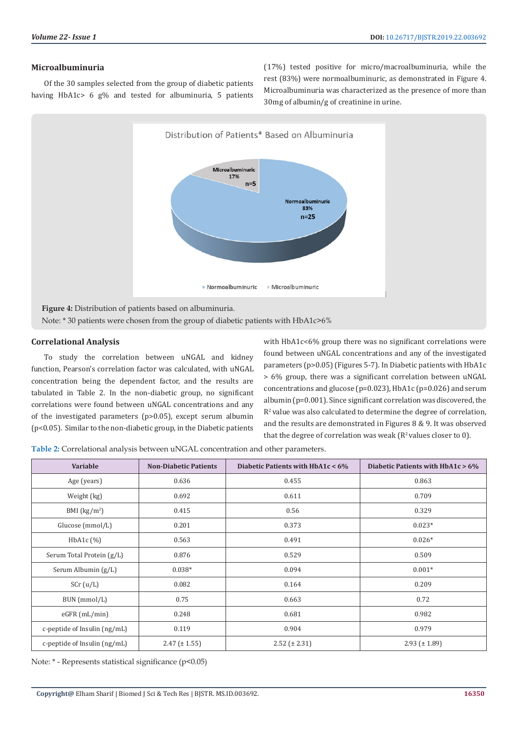# **Microalbuminuria**

Of the 30 samples selected from the group of diabetic patients having HbA1c> 6 g% and tested for albuminuria, 5 patients (17%) tested positive for micro/macroalbuminuria, while the rest (83%) were normoalbuminuric, as demonstrated in Figure 4. Microalbuminuria was characterized as the presence of more than 30mg of albumin/g of creatinine in urine.



# **Correlational Analysis**

To study the correlation between uNGAL and kidney function, Pearson's correlation factor was calculated, with uNGAL concentration being the dependent factor, and the results are tabulated in Table 2. In the non-diabetic group, no significant correlations were found between uNGAL concentrations and any of the investigated parameters (p>0.05), except serum albumin (p<0.05). Similar to the non-diabetic group, in the Diabetic patients with HbA1c<6% group there was no significant correlations were found between uNGAL concentrations and any of the investigated parameters (p>0.05) (Figures 5-7). In Diabetic patients with HbA1c > 6% group, there was a significant correlation between uNGAL concentrations and glucose (p=0.023), HbA1c (p=0.026) and serum albumin (p=0.001). Since significant correlation was discovered, the  $R<sup>2</sup>$  value was also calculated to determine the degree of correlation, and the results are demonstrated in Figures 8 & 9. It was observed that the degree of correlation was weak ( $R^2$  values closer to 0).

**Table 2:** Correlational analysis between uNGAL concentration and other parameters.

| <b>Variable</b>              | <b>Non-Diabetic Patients</b> | Diabetic Patients with $HbA1c < 6\%$ | Diabetic Patients with $HbA1c > 6%$ |
|------------------------------|------------------------------|--------------------------------------|-------------------------------------|
| Age (years)                  | 0.636                        | 0.455                                | 0.863                               |
| Weight (kg)                  | 0.692                        | 0.611                                | 0.709                               |
| BMI $(kg/m2)$                | 0.415                        | 0.56                                 | 0.329                               |
| Glucose (mmol/L)             | 0.201                        | 0.373                                | $0.023*$                            |
| HbA1c (%)                    | 0.563                        | 0.491                                | $0.026*$                            |
| Serum Total Protein (g/L)    | 0.876                        | 0.529                                | 0.509                               |
| Serum Albumin (g/L)          | $0.038*$                     | 0.094                                | $0.001*$                            |
| SCr (u/L)                    | 0.082                        | 0.164                                | 0.209                               |
| BUN (mmol/L)                 | 0.75                         | 0.663                                | 0.72                                |
| eGFR (mL/min)                | 0.248                        | 0.681                                | 0.982                               |
| c-peptide of Insulin (ng/mL) | 0.119                        | 0.904                                | 0.979                               |
| c-peptide of Insulin (ng/mL) | $2.47 \ (\pm 1.55)$          | $2.52 (\pm 2.31)$                    | $2.93 \ (\pm 1.89)$                 |

Note: \* - Represents statistical significance (p<0.05)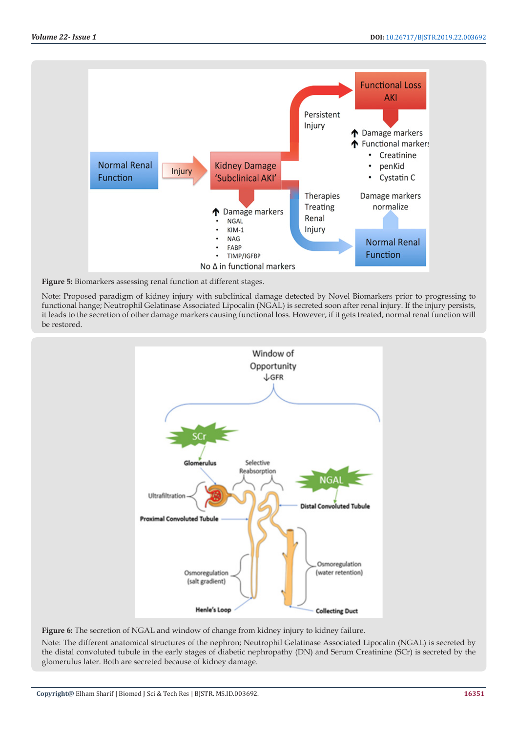

**Figure 5:** Biomarkers assessing renal function at different stages.

Note: Proposed paradigm of kidney injury with subclinical damage detected by Novel Biomarkers prior to progressing to functional hange; Neutrophil Gelatinase Associated Lipocalin (NGAL) is secreted soon after renal injury. If the injury persists, it leads to the secretion of other damage markers causing functional loss. However, if it gets treated, normal renal function will be restored.



**Figure 6:** The secretion of NGAL and window of change from kidney injury to kidney failure. Note: The different anatomical structures of the nephron; Neutrophil Gelatinase Associated Lipocalin (NGAL) is secreted by the distal convoluted tubule in the early stages of diabetic nephropathy (DN) and Serum Creatinine (SCr) is secreted by the glomerulus later. Both are secreted because of kidney damage.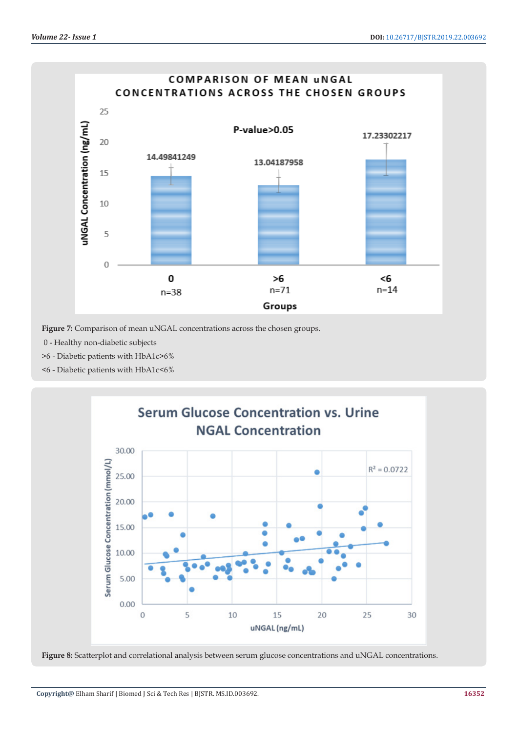

**Figure 7:** Comparison of mean uNGAL concentrations across the chosen groups.

0 - Healthy non-diabetic subjects

>6 - Diabetic patients with HbA1c>6%

<6 - Diabetic patients with HbA1c<6%



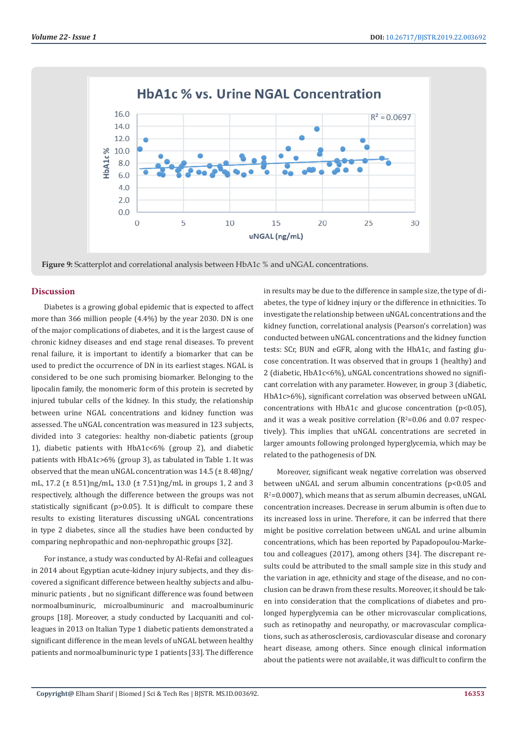

**Figure 9:** Scatterplot and correlational analysis between HbA1c % and uNGAL concentrations.

#### **Discussion**

Diabetes is a growing global epidemic that is expected to affect more than 366 million people (4.4%) by the year 2030. DN is one of the major complications of diabetes, and it is the largest cause of chronic kidney diseases and end stage renal diseases. To prevent renal failure, it is important to identify a biomarker that can be used to predict the occurrence of DN in its earliest stages. NGAL is considered to be one such promising biomarker. Belonging to the lipocalin family, the monomeric form of this protein is secreted by injured tubular cells of the kidney. In this study, the relationship between urine NGAL concentrations and kidney function was assessed. The uNGAL concentration was measured in 123 subjects, divided into 3 categories: healthy non-diabetic patients (group 1), diabetic patients with HbA1c<6% (group 2), and diabetic patients with HbA1c>6% (group 3), as tabulated in Table 1. It was observed that the mean uNGAL concentration was 14.5 (± 8.48)ng/ mL, 17.2 (± 8.51)ng/mL, 13.0 (± 7.51)ng/mL in groups 1, 2 and 3 respectively, although the difference between the groups was not statistically significant (p>0.05). It is difficult to compare these results to existing literatures discussing uNGAL concentrations in type 2 diabetes, since all the studies have been conducted by comparing nephropathic and non-nephropathic groups [32].

For instance, a study was conducted by Al-Refai and colleagues in 2014 about Egyptian acute-kidney injury subjects, and they discovered a significant difference between healthy subjects and albuminuric patients , but no significant difference was found between normoalbuminuric, microalbuminuric and macroalbuminuric groups [18]. Moreover, a study conducted by Lacquaniti and colleagues in 2013 on Italian Type 1 diabetic patients demonstrated a significant difference in the mean levels of uNGAL between healthy patients and normoalbuminuric type 1 patients [33]. The difference

in results may be due to the difference in sample size, the type of diabetes, the type of kidney injury or the difference in ethnicities. To investigate the relationship between uNGAL concentrations and the kidney function, correlational analysis (Pearson's correlation) was conducted between uNGAL concentrations and the kidney function tests: SCr, BUN and eGFR, along with the HbA1c, and fasting glucose concentration. It was observed that in groups 1 (healthy) and 2 (diabetic, HbA1c<6%), uNGAL concentrations showed no significant correlation with any parameter. However, in group 3 (diabetic, HbA1c>6%), significant correlation was observed between uNGAL concentrations with HbA1c and glucose concentration (p<0.05), and it was a weak positive correlation  $(R^2=0.06$  and  $0.07$  respectively). This implies that uNGAL concentrations are secreted in larger amounts following prolonged hyperglycemia, which may be related to the pathogenesis of DN.

Moreover, significant weak negative correlation was observed between uNGAL and serum albumin concentrations (p<0.05 and  $R^2$ =0.0007), which means that as serum albumin decreases, uNGAL concentration increases. Decrease in serum albumin is often due to its increased loss in urine. Therefore, it can be inferred that there might be positive correlation between uNGAL and urine albumin concentrations, which has been reported by Papadopoulou-Marketou and colleagues (2017), among others [34]. The discrepant results could be attributed to the small sample size in this study and the variation in age, ethnicity and stage of the disease, and no conclusion can be drawn from these results. Moreover, it should be taken into consideration that the complications of diabetes and prolonged hyperglycemia can be other microvascular complications, such as retinopathy and neuropathy, or macrovascular complications, such as atherosclerosis, cardiovascular disease and coronary heart disease, among others. Since enough clinical information about the patients were not available, it was difficult to confirm the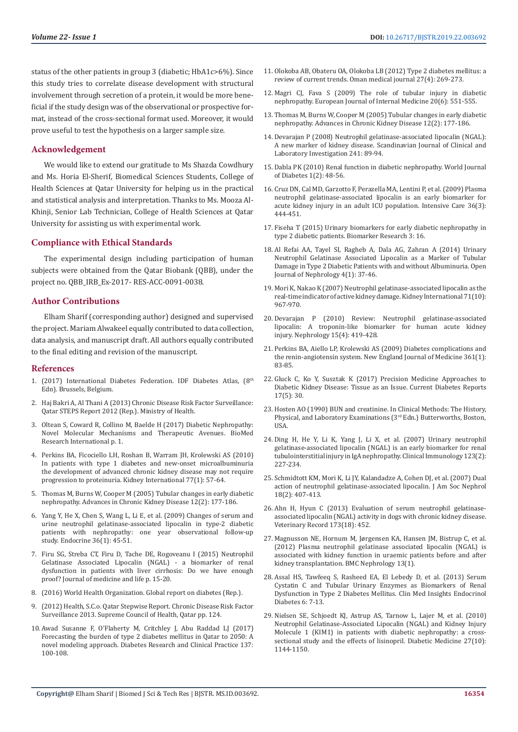status of the other patients in group 3 (diabetic; HbA1c>6%). Since this study tries to correlate disease development with structural involvement through secretion of a protein, it would be more beneficial if the study design was of the observational or prospective format, instead of the cross-sectional format used. Moreover, it would prove useful to test the hypothesis on a larger sample size.

# **Acknowledgement**

We would like to extend our gratitude to Ms Shazda Cowdhury and Ms. Horia El-Sherif, Biomedical Sciences Students, College of Health Sciences at Qatar University for helping us in the practical and statistical analysis and interpretation. Thanks to Ms. Mooza Al-Khinji, Senior Lab Technician, College of Health Sciences at Qatar University for assisting us with experimental work.

### **Compliance with Ethical Standards**

The experimental design including participation of human subjects were obtained from the Qatar Biobank (QBB), under the project no. QBB\_IRB\_Ex-2017- RES-ACC-0091-0038.

### **Author Contributions**

Elham Sharif (corresponding author) designed and supervised the project. Mariam Alwakeel equally contributed to data collection, data analysis, and manuscript draft. All authors equally contributed to the final editing and revision of the manuscript.

#### **References**

- 1. (2017) International Diabetes Federation. IDF Diabetes Atlas, (8th Edn). Brussels, Belgium.
- 2. Haj Bakri A, Al Thani A (2013) Chronic Disease Risk Factor Surveillance: Qatar STEPS Report 2012 (Rep.). Ministry of Health.
- 3. [Oltean S, Coward R, Collino M, Baelde H \(2017\) Diabetic Nephropathy:](https://www.hindawi.com/journals/bmri/2017/3146524/)  [Novel Molecular Mechanisms and Therapeutic Avenues.](https://www.hindawi.com/journals/bmri/2017/3146524/) BioMed [Research International p. 1.](https://www.hindawi.com/journals/bmri/2017/3146524/)
- 4. [Perkins BA, Ficociello LH, Roshan B, Warram JH, Krolewski AS \(2010\)](https://www.ncbi.nlm.nih.gov/pubmed/19847154)  [In patients with type 1 diabetes and new-onset microalbuminuria](https://www.ncbi.nlm.nih.gov/pubmed/19847154)  [the development of advanced chronic kidney disease may not require](https://www.ncbi.nlm.nih.gov/pubmed/19847154)  progression to proteinuria. [Kidney International 77\(1\): 57-64.](https://www.ncbi.nlm.nih.gov/pubmed/19847154)
- 5. [Thomas M, Burns W, Cooper M \(2005\) Tubular changes in early diabetic](https://www.ncbi.nlm.nih.gov/pubmed/15822053)  nephropathy. [Advances in Chronic Kidney Disease 12\(2\): 177-186.](https://www.ncbi.nlm.nih.gov/pubmed/15822053)
- 6. [Yang Y, He X, Chen S, Wang L, Li E, et al. \(2009\) Changes of serum and](https://www.ncbi.nlm.nih.gov/pubmed/19390997)  [urine neutrophil gelatinase-associated lipocalin in type-2 diabetic](https://www.ncbi.nlm.nih.gov/pubmed/19390997)  [patients with nephropathy: one year observational follow-up](https://www.ncbi.nlm.nih.gov/pubmed/19390997)  study. Endocrine [36\(1\): 45-51.](https://www.ncbi.nlm.nih.gov/pubmed/19390997)
- 7. [Firu SG, Streba CT, Firu D, Tache DE, Rogoveanu I \(2015\) Neutrophil](https://www.ncbi.nlm.nih.gov/pmc/articles/PMC4564045/)  [Gelatinase Associated Lipocalin \(NGAL\) - a biomarker of renal](https://www.ncbi.nlm.nih.gov/pmc/articles/PMC4564045/)  [dysfunction in patients with liver cirrhosis: Do we have enough](https://www.ncbi.nlm.nih.gov/pmc/articles/PMC4564045/)  proof? [Journal of medicine and life p. 15-20.](https://www.ncbi.nlm.nih.gov/pmc/articles/PMC4564045/)
- 8. (2016) World Health Organization. Global report on diabetes (Rep.).
- 9. (2012) Health, S.C.o. Qatar Stepwise Report. Chronic Disease Risk Factor Surveillance 2013. Supreme Council of Health, Qatar pp. 124.
- 10. [Awad Susanne F, O'Flaherty M, Critchley J, Abu Raddad LJ \(2017\)](https://www.ncbi.nlm.nih.gov/pubmed/29175341)  [Forecasting the burden of type 2 diabetes mellitus in Qatar to 2050: A](https://www.ncbi.nlm.nih.gov/pubmed/29175341)  [novel modeling approach. Diabetes Research and Clinical Practice 137:](https://www.ncbi.nlm.nih.gov/pubmed/29175341)  [100-108.](https://www.ncbi.nlm.nih.gov/pubmed/29175341)
- 11. [Olokoba AB, Obateru OA, Olokoba LB \(2012\) Type 2 diabetes mellitus: a](https://www.ncbi.nlm.nih.gov/pmc/articles/PMC3464757/) [review of current trends.](https://www.ncbi.nlm.nih.gov/pmc/articles/PMC3464757/) Oman medical journal 27(4): 269-273.
- 12. [Magri CJ, Fava S \(2009\) The role of tubular injury in diabetic](https://www.sciencedirect.com/science/article/abs/pii/S0953620508003439) nephropathy. [European Journal of Internal Medicine 20\(6\): 551-555.](https://www.sciencedirect.com/science/article/abs/pii/S0953620508003439)
- 13. [Thomas M, Burns W, Cooper M \(2005\) Tubular changes in early diabetic](https://europepmc.org/abstract/med/15822053) nephropathy. [Advances in Chronic Kidney Disease 12\(2\): 177-186.](https://europepmc.org/abstract/med/15822053)
- 14. [Devarajan P \(2008\) Neutrophil gelatinase-associated lipocalin \(NGAL\):](https://www.ncbi.nlm.nih.gov/pubmed/18569973) A new marker of kidney disease. [Scandinavian Journal of Clinical and](https://www.ncbi.nlm.nih.gov/pubmed/18569973) [Laboratory Investigation](https://www.ncbi.nlm.nih.gov/pubmed/18569973) 241: 89-94.
- 15. [Dabla PK \(2010\) Renal function in diabetic nephropathy.](https://www.ncbi.nlm.nih.gov/pubmed/21537427) World Journal [of Diabetes 1\(2\): 48-56.](https://www.ncbi.nlm.nih.gov/pubmed/21537427)
- 16. [Cruz DN, Cal MD, Garzotto F, Perazella MA, Lentini P, et al. \(2009\) Plasma](https://www.ncbi.nlm.nih.gov/pubmed/19956925) [neutrophil gelatinase-associated lipocalin is an early biomarker for](https://www.ncbi.nlm.nih.gov/pubmed/19956925) [acute kidney injury in an adult ICU population. Intensive Care 36\(3\):](https://www.ncbi.nlm.nih.gov/pubmed/19956925) [444-451.](https://www.ncbi.nlm.nih.gov/pubmed/19956925)
- 17. [Fiseha T \(2015\) Urinary biomarkers for early diabetic nephropathy in](https://www.ncbi.nlm.nih.gov/pmc/articles/PMC4491239/) type 2 diabetic patients. [Biomarker Research 3: 16.](https://www.ncbi.nlm.nih.gov/pmc/articles/PMC4491239/)
- 18. [Al Refai AA, Tayel SI, Ragheb A, Dala AG, Zahran A \(2014\) Urinary](https://www.scirp.org/Journal/PaperInformation.aspx?PaperID=44090) [Neutrophil Gelatinase Associated Lipocalin as a Marker of Tubular](https://www.scirp.org/Journal/PaperInformation.aspx?PaperID=44090) [Damage in Type 2 Diabetic Patients with and without Albuminuria.](https://www.scirp.org/Journal/PaperInformation.aspx?PaperID=44090) Open [Journal of Nephrology](https://www.scirp.org/Journal/PaperInformation.aspx?PaperID=44090) 4(1): 37-46.
- 19. [Mori K, Nakao K \(2007\) Neutrophil gelatinase-associated lipocalin as the](https://www.ncbi.nlm.nih.gov/pubmed/17342180) [real-time indicator of active kidney damage.Kidney International71\(10\):](https://www.ncbi.nlm.nih.gov/pubmed/17342180) [967-970.](https://www.ncbi.nlm.nih.gov/pubmed/17342180)
- 20. [Devarajan P \(2010\) Review: Neutrophil gelatinase-associated](https://www.ncbi.nlm.nih.gov/pubmed/20609093) [lipocalin: A troponin-like biomarker for human acute kidney](https://www.ncbi.nlm.nih.gov/pubmed/20609093) injury. Nephrology [15\(4\): 419-428.](https://www.ncbi.nlm.nih.gov/pubmed/20609093)
- 21. [Perkins BA, Aiello LP, Krolewski AS \(2009\) Diabetes complications and](https://www.nejm.org/doi/full/10.1056/NEJMe0904293) the renin-angiotensin system. [New England Journal of Medicine 361\(1\):](https://www.nejm.org/doi/full/10.1056/NEJMe0904293) [83-85.](https://www.nejm.org/doi/full/10.1056/NEJMe0904293)
- 22. [Gluck C, Ko Y, Susztak K \(2017\) Precision Medicine Approaches to](https://www.ncbi.nlm.nih.gov/pubmed/28364354/) [Diabetic Kidney Disease: Tissue as an Issue.](https://www.ncbi.nlm.nih.gov/pubmed/28364354/) Current Diabetes Reports [17\(5\): 30.](https://www.ncbi.nlm.nih.gov/pubmed/28364354/)
- 23. Hosten AO (1990) BUN and creatinine. In Clinical Methods: The History, Physical, and Laboratory Examinations (3rd Edn.) Butterworths, Boston, USA.
- 24. [Ding H, He Y, Li K, Yang J, Li X, et al. \(2007\) Urinary neutrophil](https://www.ncbi.nlm.nih.gov/pubmed/17360238) [gelatinase-associated lipocalin \(NGAL\) is an early biomarker for renal](https://www.ncbi.nlm.nih.gov/pubmed/17360238) [tubulointerstitial injury in IgA nephropathy.Clinical Immunology123\(2\):](https://www.ncbi.nlm.nih.gov/pubmed/17360238) [227-234.](https://www.ncbi.nlm.nih.gov/pubmed/17360238)
- 25. [Schmidtott KM, Mori K, Li JY, Kalandadze A, Cohen DJ, et al. \(2007\) Dual](https://www.ncbi.nlm.nih.gov/pubmed/17229907) [action of neutrophil gelatinase-associated lipocalin. J Am Soc Nephrol](https://www.ncbi.nlm.nih.gov/pubmed/17229907) [18\(2\): 407-413.](https://www.ncbi.nlm.nih.gov/pubmed/17229907)
- 26. [Ahn H, Hyun C \(2013\) Evaluation of serum neutrophil gelatinase](https://www.ncbi.nlm.nih.gov/pubmed/24106249)[associated lipocalin \(NGAL\) activity in dogs with chronic kidney disease.](https://www.ncbi.nlm.nih.gov/pubmed/24106249) [Veterinary Record](https://www.ncbi.nlm.nih.gov/pubmed/24106249) 173(18): 452.
- 27. [Magnusson NE, Hornum M, Jørgensen KA, Hansen JM, Bistrup C, et al.](https://bmcnephrol.biomedcentral.com/articles/10.1186/1471-2369-13-8) [\(2012\) Plasma neutrophil gelatinase associated lipocalin \(NGAL\) is](https://bmcnephrol.biomedcentral.com/articles/10.1186/1471-2369-13-8) [associated with kidney function in uraemic patients before and after](https://bmcnephrol.biomedcentral.com/articles/10.1186/1471-2369-13-8) [kidney transplantation.](https://bmcnephrol.biomedcentral.com/articles/10.1186/1471-2369-13-8) BMC Nephrology 13(1).
- 28. [Assal HS, Tawfeeq S, Rasheed EA, El Lebedy D, et al. \(2013\) Serum](https://www.ncbi.nlm.nih.gov/pmc/articles/PMC3738377/) [Cystatin C and Tubular Urinary Enzymes as Biomarkers of Renal](https://www.ncbi.nlm.nih.gov/pmc/articles/PMC3738377/) [Dysfunction in Type 2 Diabetes Mellitus. Clin Med Insights Endocrinol](https://www.ncbi.nlm.nih.gov/pmc/articles/PMC3738377/) [Diabetes 6: 7-13.](https://www.ncbi.nlm.nih.gov/pmc/articles/PMC3738377/)
- 29. [Nielsen SE, Schjoedt KJ, Astrup AS, Tarnow L, Lajer M, et al. \(2010\)](https://www.ncbi.nlm.nih.gov/pubmed/20854382) [Neutrophil Gelatinase-Associated Lipocalin \(NGAL\) and Kidney Injury](https://www.ncbi.nlm.nih.gov/pubmed/20854382) [Molecule 1 \(KIM1\) in patients with diabetic nephropathy: a cross](https://www.ncbi.nlm.nih.gov/pubmed/20854382)[sectional study and the effects of lisinopril.](https://www.ncbi.nlm.nih.gov/pubmed/20854382) Diabetic Medicine 27(10): [1144-1150.](https://www.ncbi.nlm.nih.gov/pubmed/20854382)